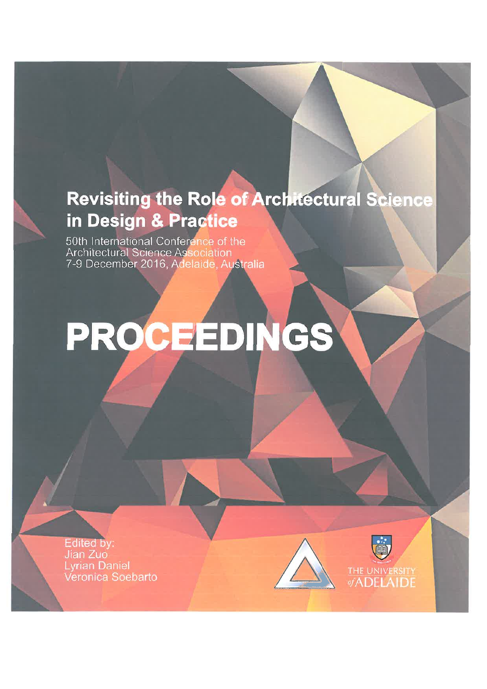# **Revisiting the Role of Architectural Science** in Design & Practice

50th International Conference of the Architectural Science Association 7-9 December 2016, Adelaide, Australia

# PROCEEDINGS

**Edited by:** Jian Zuo **Lyrian Daniel** Veronica Soebarto

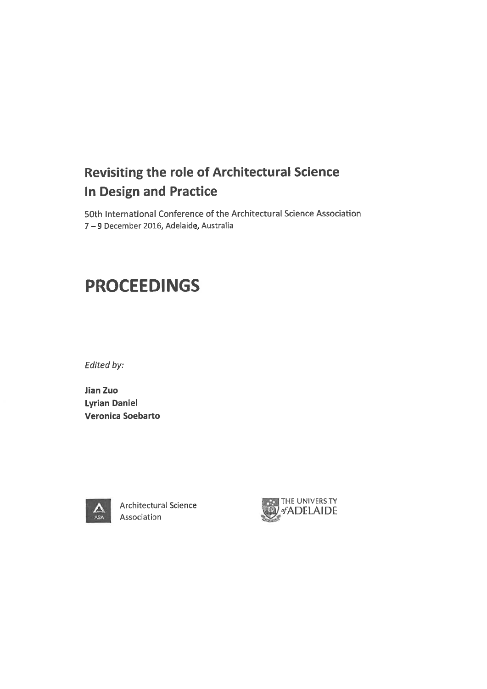## **Revisiting the role of Architectural Science In Design and Practice**

50th International Conference of the Architectural Science Association 7-9 December 2016, Adelaide, Australia

## **PROCEEDINGS**

Edited by:

**Jian Zuo Lyrian Daniel** Veronica Soebarto



Architectural Science Association

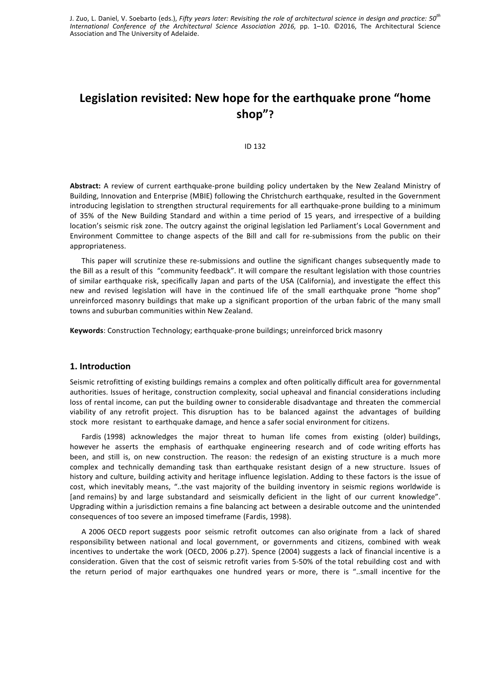J. Zuo, L. Daniel, V. Soebarto (eds.), *Fifty years later: Revisiting the role of architectural science in design and practice: 50<sup>th</sup>* International Conference of the Architectural Science Association 2016, pp. 1-10. ©2016, The Architectural Science Association and The University of Adelaide.

### Legislation revisited: New hope for the earthquake prone "home **shop"?**

ID 132

Abstract: A review of current earthquake-prone building policy undertaken by the New Zealand Ministry of Building, Innovation and Enterprise (MBIE) following the Christchurch earthquake, resulted in the Government introducing legislation to strengthen structural requirements for all earthquake-prone building to a minimum of 35% of the New Building Standard and within a time period of 15 years, and irrespective of a building location's seismic risk zone. The outcry against the original legislation led Parliament's Local Government and Environment Committee to change aspects of the Bill and call for re-submissions from the public on their appropriateness. 

This paper will scrutinize these re-submissions and outline the significant changes subsequently made to the Bill as a result of this "community feedback". It will compare the resultant legislation with those countries of similar earthquake risk, specifically Japan and parts of the USA (California), and investigate the effect this new and revised legislation will have in the continued life of the small earthquake prone "home shop" unreinforced masonry buildings that make up a significant proportion of the urban fabric of the many small towns and suburban communities within New Zealand.

**Keywords**: Construction Technology; earthquake-prone buildings; unreinforced brick masonry

#### 1. Introduction

Seismic retrofitting of existing buildings remains a complex and often politically difficult area for governmental authorities. Issues of heritage, construction complexity, social upheaval and financial considerations including loss of rental income, can put the building owner to considerable disadvantage and threaten the commercial viability of any retrofit project. This disruption has to be balanced against the advantages of building stock more resistant to earthquake damage, and hence a safer social environment for citizens.

Fardis (1998) acknowledges the major threat to human life comes from existing (older) buildings, however he asserts the emphasis of earthquake engineering research and of code writing efforts has been, and still is, on new construction. The reason: the redesign of an existing structure is a much more complex and technically demanding task than earthquake resistant design of a new structure. Issues of history and culture, building activity and heritage influence legislation. Adding to these factors is the issue of cost, which inevitably means, "..the vast majority of the building inventory in seismic regions worldwide is [and remains} by and large substandard and seismically deficient in the light of our current knowledge". Upgrading within a jurisdiction remains a fine balancing act between a desirable outcome and the unintended consequences of too severe an imposed timeframe (Fardis, 1998).

A 2006 OECD report suggests poor seismic retrofit outcomes can also originate from a lack of shared responsibility between national and local government, or governments and citizens, combined with weak incentives to undertake the work (OECD, 2006 p.27). Spence (2004) suggests a lack of financial incentive is a consideration. Given that the cost of seismic retrofit varies from 5-50% of the total rebuilding cost and with the return period of major earthquakes one hundred years or more, there is "..small incentive for the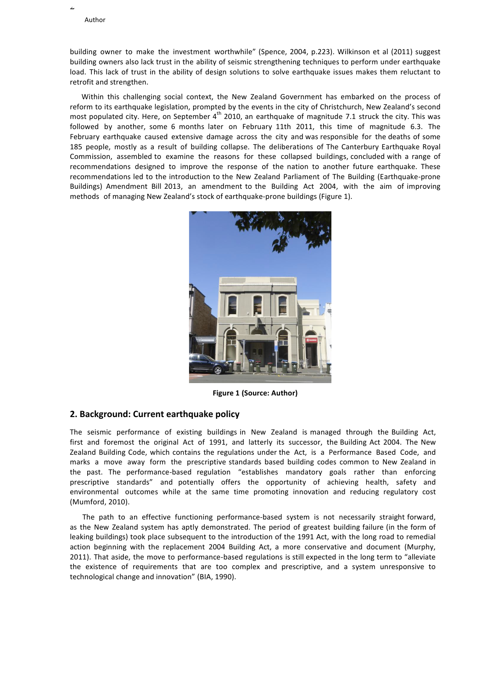2

building owner to make the investment worthwhile" (Spence, 2004, p.223). Wilkinson et al (2011) suggest building owners also lack trust in the ability of seismic strengthening techniques to perform under earthquake load. This lack of trust in the ability of design solutions to solve earthquake issues makes them reluctant to retrofit and strengthen.

Within this challenging social context, the New Zealand Government has embarked on the process of reform to its earthquake legislation, prompted by the events in the city of Christchurch, New Zealand's second most populated city. Here, on September  $4^{th}$  2010, an earthquake of magnitude 7.1 struck the city. This was followed by another, some 6 months later on February 11th 2011, this time of magnitude 6.3. The February earthquake caused extensive damage across the city and was responsible for the deaths of some 185 people, mostly as a result of building collapse. The deliberations of The Canterbury Earthquake Royal Commission, assembled to examine the reasons for these collapsed buildings, concluded with a range of recommendations designed to improve the response of the nation to another future earthquake. These recommendations led to the introduction to the New Zealand Parliament of The Building (Earthquake-prone Buildings) Amendment Bill 2013, an amendment to the Building Act 2004, with the aim of improving methods of managing New Zealand's stock of earthquake-prone buildings (Figure 1).



**Figure 1 (Source: Author)**

#### **2. Background: Current earthquake policy**

The seismic performance of existing buildings in New Zealand is managed through the Building Act, first and foremost the original Act of 1991, and latterly its successor, the Building Act 2004. The New Zealand Building Code, which contains the regulations under the Act, is a Performance Based Code, and marks a move away form the prescriptive standards based building codes common to New Zealand in the past. The performance-based regulation "establishes mandatory goals rather than enforcing prescriptive standards" and potentially offers the opportunity of achieving health, safety and environmental outcomes while at the same time promoting innovation and reducing regulatory cost (Mumford, 2010).

The path to an effective functioning performance-based system is not necessarily straight forward, as the New Zealand system has aptly demonstrated. The period of greatest building failure (in the form of leaking buildings) took place subsequent to the introduction of the 1991 Act, with the long road to remedial action beginning with the replacement 2004 Building Act, a more conservative and document (Murphy, 2011). That aside, the move to performance-based regulations is still expected in the long term to "alleviate the existence of requirements that are too complex and prescriptive, and a system unresponsive to technological change and innovation" (BIA, 1990).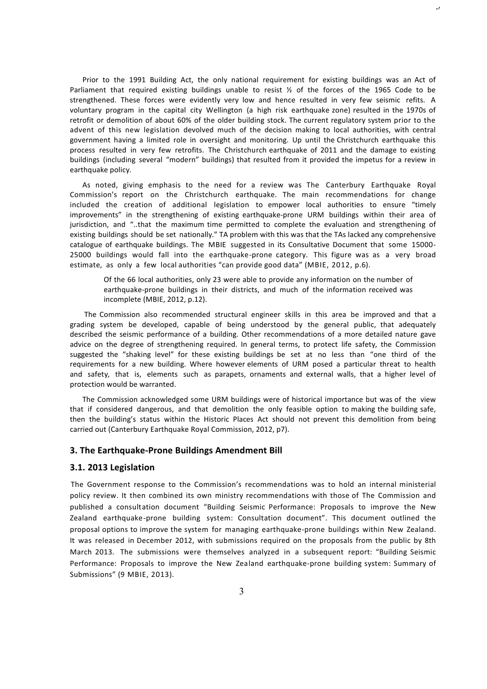Prior to the 1991 Building Act, the only national requirement for existing buildings was an Act of Parliament that required existing buildings unable to resist  $\frac{1}{2}$  of the forces of the 1965 Code to be strengthened. These forces were evidently very low and hence resulted in very few seismic refits. A voluntary program in the capital city Wellington (a high risk earthquake zone) resulted in the 1970s of retrofit or demolition of about 60% of the older building stock. The current regulatory system prior to the advent of this new legislation devolved much of the decision making to local authorities, with central government having a limited role in oversight and monitoring. Up until the Christchurch earthquake this process resulted in very few retrofits. The Christchurch earthquake of 2011 and the damage to existing buildings (including several "modern" buildings) that resulted from it provided the impetus for a review in earthquake policy.

ر

As noted, giving emphasis to the need for a review was The Canterbury Earthquake Royal Commission's report on the Christchurch earthquake. The main recommendations for change included the creation of additional legislation to empower local authorities to ensure "timely improvements" in the strengthening of existing earthquake-prone URM buildings within their area of jurisdiction, and "..that the maximum time permitted to complete the evaluation and strengthening of existing buildings should be set nationally." TA problem with this was that the TAs lacked any comprehensive catalogue of earthquake buildings. The MBIE suggested in its Consultative Document that some 15000-25000 buildings would fall into the earthquake-prone category. This figure was as a very broad estimate, as only a few local authorities "can provide good data" (MBIE, 2012, p.6).

Of the 66 local authorities, only 23 were able to provide any information on the number of earthquake-prone buildings in their districts, and much of the information received was incomplete (MBIE, 2012, p.12).

The Commission also recommended structural engineer skills in this area be improved and that a grading system be developed, capable of being understood by the general public, that adequately described the seismic performance of a building. Other recommendations of a more detailed nature gave advice on the degree of strengthening required. In general terms, to protect life safety, the Commission suggested the "shaking level" for these existing buildings be set at no less than "one third of the requirements for a new building. Where however elements of URM posed a particular threat to health and safety, that is, elements such as parapets, ornaments and external walls, that a higher level of protection would be warranted.

The Commission acknowledged some URM buildings were of historical importance but was of the view that if considered dangerous, and that demolition the only feasible option to making the building safe, then the building's status within the Historic Places Act should not prevent this demolition from being carried out (Canterbury Earthquake Royal Commission, 2012, p7).

#### **3. The Earthquake-Prone Buildings Amendment Bill**

#### **3.1. 2013 Legislation**

The Government response to the Commission's recommendations was to hold an internal ministerial policy review. It then combined its own ministry recommendations with those of The Commission and published a consultation document "Building Seismic Performance: Proposals to improve the New Zealand earthquake-prone building system: Consultation document". This document outlined the proposal options to improve the system for managing earthquake-prone buildings within New Zealand. It was released in December 2012, with submissions required on the proposals from the public by 8th March 2013. The submissions were themselves analyzed in a subsequent report: "Building Seismic Performance: Proposals to improve the New Zealand earthquake-prone building system: Summary of Submissions" (9 MBIE, 2013).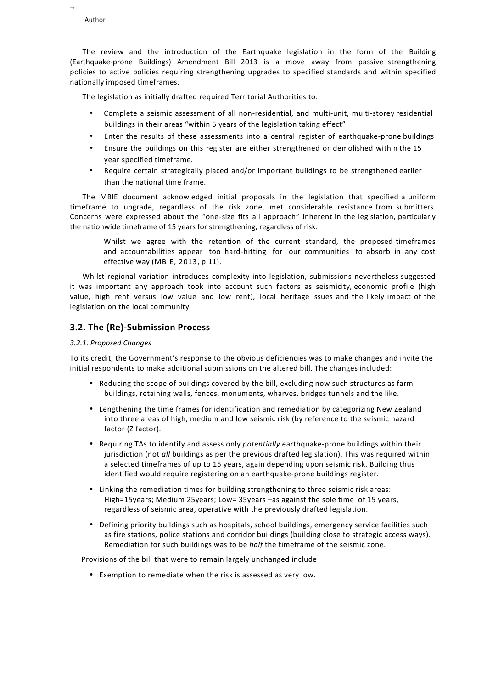

4

The review and the introduction of the Earthquake legislation in the form of the Building (Earthquake-prone Buildings) Amendment Bill 2013 is a move away from passive strengthening policies to active policies requiring strengthening upgrades to specified standards and within specified nationally imposed timeframes.

The legislation as initially drafted required Territorial Authorities to:

- Complete a seismic assessment of all non-residential, and multi-unit, multi-storey residential buildings in their areas "within 5 years of the legislation taking effect"
- Enter the results of these assessments into a central register of earthquake-prone buildings
- Ensure the buildings on this register are either strengthened or demolished within the 15 year specified timeframe.
- Require certain strategically placed and/or important buildings to be strengthened earlier than the national time frame.

The MBIE document acknowledged initial proposals in the legislation that specified a uniform timeframe to upgrade, regardless of the risk zone, met considerable resistance from submitters. Concerns were expressed about the "one-size fits all approach" inherent in the legislation, particularly the nationwide timeframe of 15 years for strengthening, regardless of risk.

Whilst we agree with the retention of the current standard, the proposed timeframes and accountabilities appear too hard-hitting for our communities to absorb in any cost effective way (MBIE, 2013, p.11).

Whilst regional variation introduces complexity into legislation, submissions nevertheless suggested it was important any approach took into account such factors as seismicity, economic profile (high value, high rent versus low value and low rent), local heritage issues and the likely impact of the legislation on the local community.

#### **3.2. The (Re)-Submission Process**

#### *3.2.1. Proposed Changes*

To its credit, the Government's response to the obvious deficiencies was to make changes and invite the initial respondents to make additional submissions on the altered bill. The changes included:

- Reducing the scope of buildings covered by the bill, excluding now such structures as farm buildings, retaining walls, fences, monuments, wharves, bridges tunnels and the like.
- Lengthening the time frames for identification and remediation by categorizing New Zealand into three areas of high, medium and low seismic risk (by reference to the seismic hazard factor (Z factor).
- Requiring TAs to identify and assess only *potentially* earthquake-prone buildings within their iurisdiction (not *all* buildings as per the previous drafted legislation). This was required within a selected timeframes of up to 15 years, again depending upon seismic risk. Building thus identified would require registering on an earthquake-prone buildings register.
- Linking the remediation times for building strengthening to three seismic risk areas: High=15years; Medium 25years; Low= 35years -as against the sole time of 15 years, regardless of seismic area, operative with the previously drafted legislation.
- Defining priority buildings such as hospitals, school buildings, emergency service facilities such as fire stations, police stations and corridor buildings (building close to strategic access ways). Remediation for such buildings was to be *half* the timeframe of the seismic zone.

Provisions of the bill that were to remain largely unchanged include

• Exemption to remediate when the risk is assessed as very low.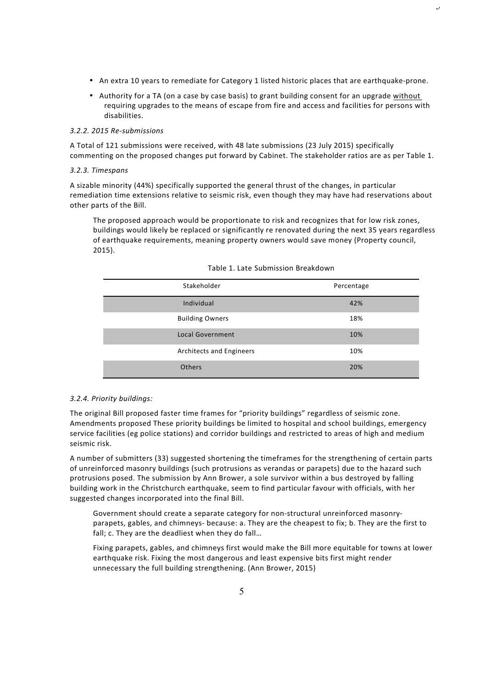• An extra 10 years to remediate for Category 1 listed historic places that are earthquake-prone.

 $\cup$ 

• Authority for a TA (on a case by case basis) to grant building consent for an upgrade without requiring upgrades to the means of escape from fire and access and facilities for persons with disabilities. 

#### *3.2.2. 2015 Re-submissions*

A Total of 121 submissions were received, with 48 late submissions (23 July 2015) specifically commenting on the proposed changes put forward by Cabinet. The stakeholder ratios are as per Table 1.

#### *3.2.3. Timespans*

A sizable minority (44%) specifically supported the general thrust of the changes, in particular remediation time extensions relative to seismic risk, even though they may have had reservations about other parts of the Bill.

The proposed approach would be proportionate to risk and recognizes that for low risk zones, buildings would likely be replaced or significantly re renovated during the next 35 years regardless of earthquake requirements, meaning property owners would save money (Property council, 2015).

| Stakeholder              | Percentage |
|--------------------------|------------|
| Individual               | 42%        |
| <b>Building Owners</b>   | 18%        |
| <b>Local Government</b>  | 10%        |
| Architects and Engineers | 10%        |
| <b>Others</b>            | 20%        |

#### Table 1. Late Submission Breakdown

#### *3.2.4. Priority buildings:*

The original Bill proposed faster time frames for "priority buildings" regardless of seismic zone. Amendments proposed These priority buildings be limited to hospital and school buildings, emergency service facilities (eg police stations) and corridor buildings and restricted to areas of high and medium seismic risk.

A number of submitters (33) suggested shortening the timeframes for the strengthening of certain parts of unreinforced masonry buildings (such protrusions as verandas or parapets) due to the hazard such protrusions posed. The submission by Ann Brower, a sole survivor within a bus destroyed by falling building work in the Christchurch earthquake, seem to find particular favour with officials, with her suggested changes incorporated into the final Bill.

Government should create a separate category for non-structural unreinforced masonryparapets, gables, and chimneys- because: a. They are the cheapest to fix; b. They are the first to fall; c. They are the deadliest when they do fall...

Fixing parapets, gables, and chimneys first would make the Bill more equitable for towns at lower earthquake risk. Fixing the most dangerous and least expensive bits first might render unnecessary the full building strengthening. (Ann Brower, 2015)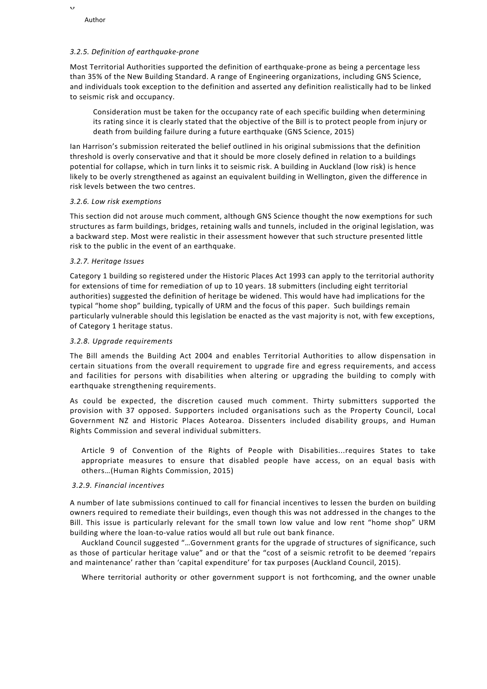6

#### *3.2.5. Definition of earthquake-prone*

Most Territorial Authorities supported the definition of earthquake-prone as being a percentage less than 35% of the New Building Standard. A range of Engineering organizations, including GNS Science, and individuals took exception to the definition and asserted any definition realistically had to be linked to seismic risk and occupancy.

Consideration must be taken for the occupancy rate of each specific building when determining its rating since it is clearly stated that the objective of the Bill is to protect people from injury or death from building failure during a future earthquake (GNS Science, 2015)

lan Harrison's submission reiterated the belief outlined in his original submissions that the definition threshold is overly conservative and that it should be more closely defined in relation to a buildings potential for collapse, which in turn links it to seismic risk. A building in Auckland (low risk) is hence likely to be overly strengthened as against an equivalent building in Wellington, given the difference in risk levels between the two centres.

#### *3.2.6. Low risk exemptions*

This section did not arouse much comment, although GNS Science thought the now exemptions for such structures as farm buildings, bridges, retaining walls and tunnels, included in the original legislation, was a backward step. Most were realistic in their assessment however that such structure presented little risk to the public in the event of an earthquake.

#### *3.2.7. Heritage Issues*

Category 1 building so registered under the Historic Places Act 1993 can apply to the territorial authority for extensions of time for remediation of up to 10 years. 18 submitters (including eight territorial authorities) suggested the definition of heritage be widened. This would have had implications for the typical "home shop" building, typically of URM and the focus of this paper. Such buildings remain particularly vulnerable should this legislation be enacted as the vast majority is not, with few exceptions, of Category 1 heritage status.

#### *3.2.8. Upgrade requirements*

The Bill amends the Building Act 2004 and enables Territorial Authorities to allow dispensation in certain situations from the overall requirement to upgrade fire and egress requirements, and access and facilities for persons with disabilities when altering or upgrading the building to comply with earthquake strengthening requirements.

As could be expected, the discretion caused much comment. Thirty submitters supported the provision with 37 opposed. Supporters included organisations such as the Property Council, Local Government NZ and Historic Places Aotearoa. Dissenters included disability groups, and Human Rights Commission and several individual submitters.

Article 9 of Convention of the Rights of People with Disabilities...requires States to take appropriate measures to ensure that disabled people have access, on an equal basis with others...(Human Rights Commission, 2015)

#### *3.2.9. Financial incentives*

A number of late submissions continued to call for financial incentives to lessen the burden on building owners required to remediate their buildings, even though this was not addressed in the changes to the Bill. This issue is particularly relevant for the small town low value and low rent "home shop" URM building where the loan-to-value ratios would all but rule out bank finance.

Auckland Council suggested "...Government grants for the upgrade of structures of significance, such as those of particular heritage value" and or that the "cost of a seismic retrofit to be deemed 'repairs and maintenance' rather than 'capital expenditure' for tax purposes (Auckland Council, 2015).

Where territorial authority or other government support is not forthcoming, and the owner unable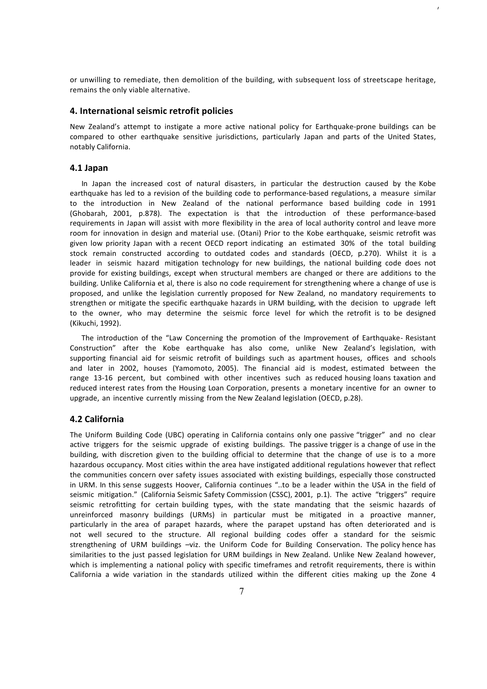or unwilling to remediate, then demolition of the building, with subsequent loss of streetscape heritage, remains the only viable alternative.

 $\overline{1}$ 

#### **4.** International seismic retrofit policies

New Zealand's attempt to instigate a more active national policy for Earthquake-prone buildings can be compared to other earthquake sensitive jurisdictions, particularly Japan and parts of the United States, notably California.

#### **4.1 Japan**

In Japan the increased cost of natural disasters, in particular the destruction caused by the Kobe earthquake has led to a revision of the building code to performance-based regulations, a measure similar to the introduction in New Zealand of the national performance based building code in 1991 (Ghobarah, 2001, p.878). The expectation is that the introduction of these performance-based requirements in Japan will assist with more flexibility in the area of local authority control and leave more room for innovation in design and material use. (Otani) Prior to the Kobe earthquake, seismic retrofit was given low priority Japan with a recent OECD report indicating an estimated 30% of the total building stock remain constructed according to outdated codes and standards (OECD, p.270). Whilst it is a leader in seismic hazard mitigation technology for new buildings, the national building code does not provide for existing buildings, except when structural members are changed or there are additions to the building. Unlike California et al, there is also no code requirement for strengthening where a change of use is proposed, and unlike the legislation currently proposed for New Zealand, no mandatory requirements to strengthen or mitigate the specific earthquake hazards in URM building, with the decision to upgrade left to the owner, who may determine the seismic force level for which the retrofit is to be designed (Kikuchi, 1992).

The introduction of the "Law Concerning the promotion of the Improvement of Earthquake- Resistant Construction" after the Kobe earthquake has also come, unlike New Zealand's legislation, with supporting financial aid for seismic retrofit of buildings such as apartment houses, offices and schools and later in 2002, houses (Yamomoto, 2005). The financial aid is modest, estimated between the range 13-16 percent, but combined with other incentives such as reduced housing loans taxation and reduced interest rates from the Housing Loan Corporation, presents a monetary incentive for an owner to upgrade, an incentive currently missing from the New Zealand legislation (OECD, p.28).

#### **4.2 California**

The Uniform Building Code (UBC) operating in California contains only one passive "trigger" and no clear active triggers for the seismic upgrade of existing buildings. The passive trigger is a change of use in the building, with discretion given to the building official to determine that the change of use is to a more hazardous occupancy. Most cities within the area have instigated additional regulations however that reflect the communities concern over safety issues associated with existing buildings, especially those constructed in URM. In this sense suggests Hoover, California continues "..to be a leader within the USA in the field of seismic mitigation." (California Seismic Safety Commission (CSSC), 2001, p.1). The active "triggers" require seismic retrofitting for certain building types, with the state mandating that the seismic hazards of unreinforced masonry buildings (URMs) in particular must be mitigated in a proactive manner, particularly in the area of parapet hazards, where the parapet upstand has often deteriorated and is not well secured to the structure. All regional building codes offer a standard for the seismic strengthening of URM buildings -viz. the Uniform Code for Building Conservation. The policy hence has similarities to the just passed legislation for URM buildings in New Zealand. Unlike New Zealand however, which is implementing a national policy with specific timeframes and retrofit requirements, there is within California a wide variation in the standards utilized within the different cities making up the Zone 4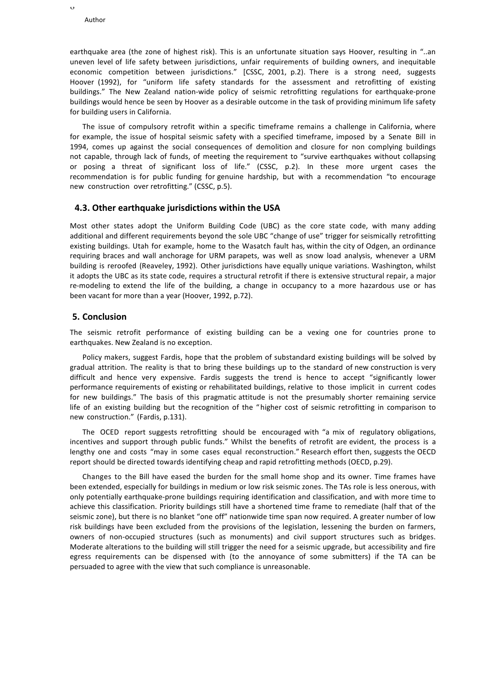$\circ$ 

earthquake area (the zone of highest risk). This is an unfortunate situation says Hoover, resulting in "..an uneven level of life safety between jurisdictions, unfair requirements of building owners, and inequitable economic competition between jurisdictions." [CSSC, 2001, p.2). There is a strong need, suggests Hoover (1992), for "uniform life safety standards for the assessment and retrofitting of existing buildings." The New Zealand nation-wide policy of seismic retrofitting regulations for earthquake-prone buildings would hence be seen by Hoover as a desirable outcome in the task of providing minimum life safety for building users in California.

The issue of compulsory retrofit within a specific timeframe remains a challenge in California, where for example, the issue of hospital seismic safety with a specified timeframe, imposed by a Senate Bill in 1994, comes up against the social consequences of demolition and closure for non complying buildings not capable, through lack of funds, of meeting the requirement to "survive earthquakes without collapsing or posing a threat of significant loss of life." (CSSC, p.2). In these more urgent cases the recommendation is for public funding for genuine hardship, but with a recommendation "to encourage new construction over retrofitting." (CSSC, p.5).

#### **4.3. Other earthquake jurisdictions within the USA**

Most other states adopt the Uniform Building Code (UBC) as the core state code, with many adding additional and different requirements beyond the sole UBC "change of use" trigger for seismically retrofitting existing buildings. Utah for example, home to the Wasatch fault has, within the city of Odgen, an ordinance requiring braces and wall anchorage for URM parapets, was well as snow load analysis, whenever a URM building is reroofed (Reaveley, 1992). Other jurisdictions have equally unique variations. Washington, whilst it adopts the UBC as its state code, requires a structural retrofit if there is extensive structural repair, a major re-modeling to extend the life of the building, a change in occupancy to a more hazardous use or has been vacant for more than a year (Hoover, 1992, p.72).

#### **5. Conclusion**

The seismic retrofit performance of existing building can be a vexing one for countries prone to earthquakes. New Zealand is no exception.

Policy makers, suggest Fardis, hope that the problem of substandard existing buildings will be solved by gradual attrition. The reality is that to bring these buildings up to the standard of new construction is very difficult and hence very expensive. Fardis suggests the trend is hence to accept "significantly lower performance requirements of existing or rehabilitated buildings, relative to those implicit in current codes for new buildings." The basis of this pragmatic attitude is not the presumably shorter remaining service life of an existing building but the recognition of the "higher cost of seismic retrofitting in comparison to new construction." (Fardis, p.131).

The OCED report suggests retrofitting should be encouraged with "a mix of regulatory obligations, incentives and support through public funds." Whilst the benefits of retrofit are evident, the process is a lengthy one and costs "may in some cases equal reconstruction." Research effort then, suggests the OECD report should be directed towards identifying cheap and rapid retrofitting methods (OECD, p.29).

Changes to the Bill have eased the burden for the small home shop and its owner. Time frames have been extended, especially for buildings in medium or low risk seismic zones. The TAs role is less onerous, with only potentially earthquake-prone buildings requiring identification and classification, and with more time to achieve this classification. Priority buildings still have a shortened time frame to remediate (half that of the seismic zone), but there is no blanket "one off" nationwide time span now required. A greater number of low risk buildings have been excluded from the provisions of the legislation, lessening the burden on farmers, owners of non-occupied structures (such as monuments) and civil support structures such as bridges. Moderate alterations to the building will still trigger the need for a seismic upgrade, but accessibility and fire egress requirements can be dispensed with (to the annoyance of some submitters) if the TA can be persuaded to agree with the view that such compliance is unreasonable.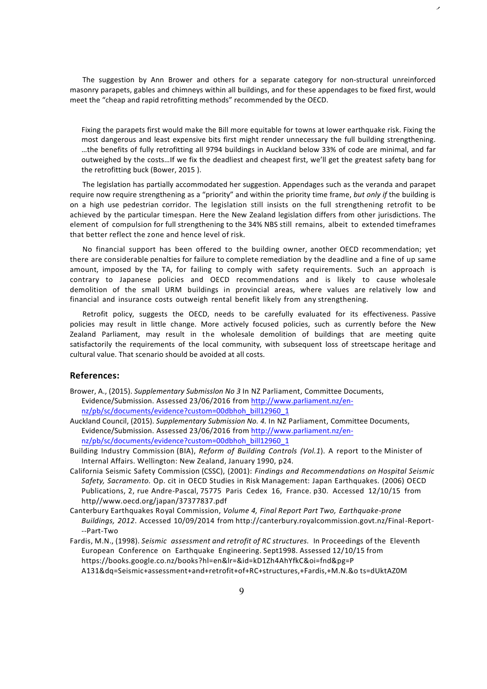The suggestion by Ann Brower and others for a separate category for non-structural unreinforced masonry parapets, gables and chimneys within all buildings, and for these appendages to be fixed first, would meet the "cheap and rapid retrofitting methods" recommended by the OECD.

 $\overline{z}$ 

Fixing the parapets first would make the Bill more equitable for towns at lower earthquake risk. Fixing the most dangerous and least expensive bits first might render unnecessary the full building strengthening. ...the benefits of fully retrofitting all 9794 buildings in Auckland below 33% of code are minimal, and far outweighed by the costs...If we fix the deadliest and cheapest first, we'll get the greatest safety bang for the retrofitting buck (Bower, 2015).

The legislation has partially accommodated her suggestion. Appendages such as the veranda and parapet require now require strengthening as a "priority" and within the priority time frame, *but only if* the building is on a high use pedestrian corridor. The legislation still insists on the full strengthening retrofit to be achieved by the particular timespan. Here the New Zealand legislation differs from other jurisdictions. The element of compulsion for full strengthening to the 34% NBS still remains, albeit to extended timeframes that better reflect the zone and hence level of risk.

No financial support has been offered to the building owner, another OECD recommendation; yet there are considerable penalties for failure to complete remediation by the deadline and a fine of up same amount, imposed by the TA, for failing to comply with safety requirements. Such an approach is contrary to Japanese policies and OECD recommendations and is likely to cause wholesale demolition of the small URM buildings in provincial areas, where values are relatively low and financial and insurance costs outweigh rental benefit likely from any strengthening.

Retrofit policy, suggests the OECD, needs to be carefully evaluated for its effectiveness. Passive policies may result in little change. More actively focused policies, such as currently before the New Zealand Parliament, may result in the wholesale demolition of buildings that are meeting quite satisfactorily the requirements of the local community, with subsequent loss of streetscape heritage and cultural value. That scenario should be avoided at all costs.

#### **References:**

- Brower, A., (2015). *Supplementary Submisslon No 3* In NZ Parliament, Committee Documents, Evidence/Submission. Assessed 23/06/2016 from http://www.parliament.nz/ennz/pb/sc/documents/evidence?custom=00dbhoh\_bill12960\_1
- Auckland Council, (2015). Supplementary Submission No. 4. In NZ Parliament, Committee Documents, Evidence/Submission. Assessed 23/06/2016 from http://www.parliament.nz/ennz/pb/sc/documents/evidence?custom=00dbhoh\_bill12960\_1
- Building Industry Commission (BIA), *Reform of Building Controls (Vol.1*). A report to the Minister of Internal Affairs. Wellington: New Zealand, January 1990, p24.
- California Seismic Safety Commission (CSSC), (2001): *Findings and Recommendations on Hospital Seismic Safety, Sacramento.* Op. cit in OECD Studies in Risk Management: Japan Earthquakes. (2006) OECD Publications, 2, rue Andre-Pascal, 75775 Paris Cedex 16, France. p30. Accessed 12/10/15 from http//www.oecd.org/japan/37377837.pdf
- Canterbury Earthquakes Royal Commission, *Volume 4, Final Report Part Two, Earthquake-prone Buildings, 2012*. Accessed 10/09/2014 from http://canterbury.royalcommission.govt.nz/Final-Report- --Part-Two
- Fardis, M.N., (1998). Seismic *assessment and retrofit of RC structures*. In Proceedings of the Eleventh European Conference on Earthquake Engineering. Sept1998. Assessed 12/10/15 from https://books.google.co.nz/books?hl=en&lr=&id=kD1Zh4AhYfkC&oi=fnd&pg=P A131&dq=Seismic+assessment+and+retrofit+of+RC+structures,+Fardis,+M.N.&o ts=dUktAZ0M